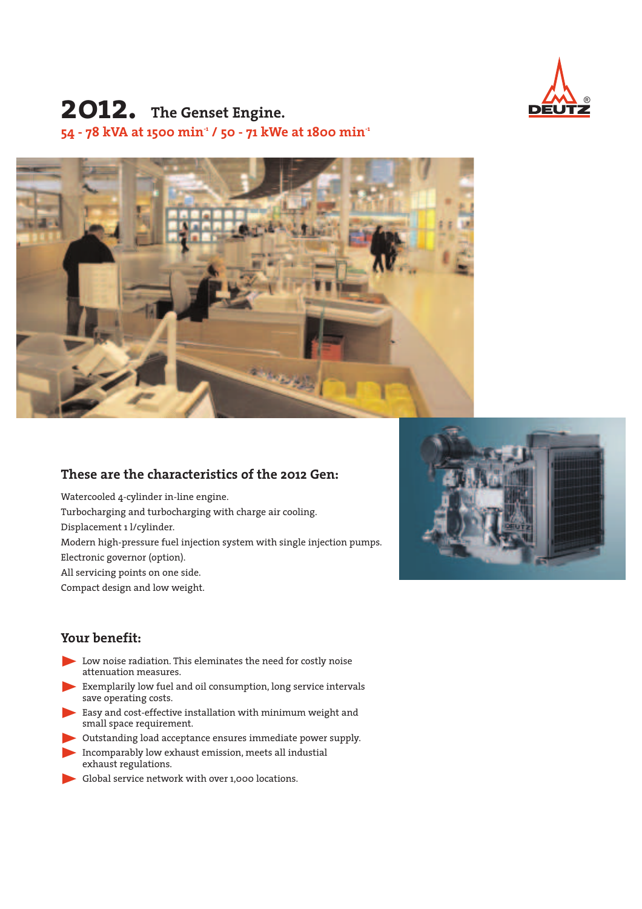

# **2012. The Genset Engine. 54 - 78 kVA at 1500 min-1 / 50 - 71 kWe at 1800 min-1**



### **These are the characteristics of the 2012 Gen:**

Watercooled 4-cylinder in-line engine. Turbocharging and turbocharging with charge air cooling. Displacement 1 l/cylinder. Modern high-pressure fuel injection system with single injection pumps. Electronic governor (option). All servicing points on one side. Compact design and low weight.



### **Your benefit:**

- $\blacktriangleright$  Low noise radiation. This eleminates the need for costly noise attenuation measures.
- Exemplarily low fuel and oil consumption, long service intervals save operating costs.
- Easy and cost-effective installation with minimum weight and small space requirement.
- Interpretanding load acceptance ensures immediate power supply.
- E Incomparably low exhaust emission, meets all industial exhaust regulations.
- Global service network with over 1,000 locations.